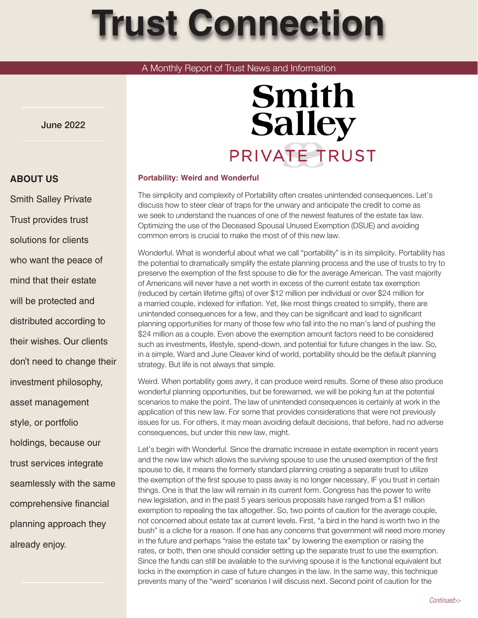# **Trust Connection**

## A Monthly Report of Trust News and Information

June 2022

# **Smith Salley** PRIVATE TRUST

#### **Portability: Weird and Wonderful**

The simplicity and complexity of Portability often creates unintended consequences. Let's discuss how to steer clear of traps for the unwary and anticipate the credit to come as we seek to understand the nuances of one of the newest features of the estate tax law. Optimizing the use of the Deceased Spousal Unused Exemption (DSUE) and avoiding common errors is crucial to make the most of of this new law.

Wonderful. What is wonderful about what we call "portability" is in its simplicity. Portability has the potential to dramatically simplify the estate planning process and the use of trusts to try to preserve the exemption of the first spouse to die for the average American. The vast majority of Americans will never have a net worth in excess of the current estate tax exemption (reduced by certain lifetime gifts) of over \$12 million per individual or over \$24 million for a married couple, indexed for inflation. Yet, like most things created to simplify, there are unintended consequences for a few, and they can be significant and lead to significant planning opportunities for many of those few who fall into the no man's land of pushing the \$24 million as a couple. Even above the exemption amount factors need to be considered such as investments, lifestyle, spend-down, and potential for future changes in the law. So, in a simple, Ward and June Cleaver kind of world, portability should be the default planning strategy. But life is not always that simple.

Weird. When portability goes awry, it can produce weird results. Some of these also produce wonderful planning opportunities, but be forewarned, we will be poking fun at the potential scenarios to make the point. The law of unintended consequences is certainly at work in the application of this new law. For some that provides considerations that were not previously issues for us. For others, it may mean avoiding default decisions, that before, had no adverse consequences, but under this new law, might.

Let's begin with Wonderful. Since the dramatic increase in estate exemption in recent years and the new law which allows the surviving spouse to use the unused exemption of the first spouse to die, it means the formerly standard planning creating a separate trust to utilize the exemption of the first spouse to pass away is no longer necessary, IF you trust in certain things. One is that the law will remain in its current form. Congress has the power to write new legislation, and in the past 5 years serious proposals have ranged from a \$1 million exemption to repealing the tax altogether. So, two points of caution for the average couple, not concerned about estate tax at current levels. First, "a bird in the hand is worth two in the bush" is a cliche for a reason. If one has any concerns that government will need more money in the future and perhaps "raise the estate tax" by lowering the exemption or raising the rates, or both, then one should consider setting up the separate trust to use the exemption. Since the funds can still be available to the surviving spouse it is the functional equivalent but locks in the exemption in case of future changes in the law. In the same way, this technique prevents many of the "weird" scenarios I will discuss next. Second point of caution for the

## **ABOUT US**

Smith Salley Private Trust provides trust solutions for clients who want the peace of mind that their estate will be protected and distributed according to their wishes. Our clients don't need to change their investment philosophy, asset management style, or portfolio holdings, because our trust services integrate seamlessly with the same comprehensive financial planning approach they already enjoy.